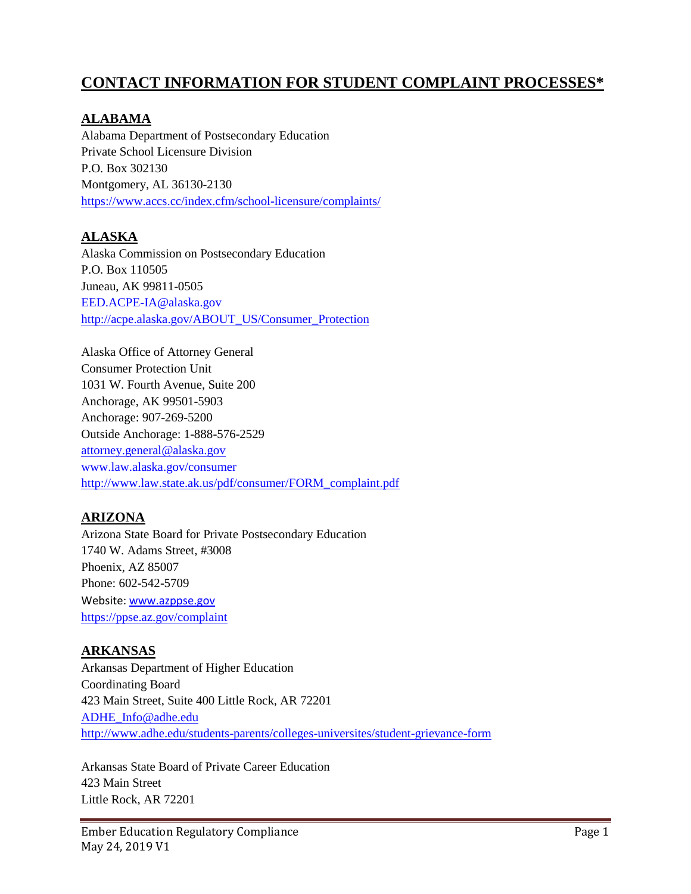# **CONTACT INFORMATION FOR STUDENT COMPLAINT PROCESSES\***

### **ALABAMA**

Alabama Department of Postsecondary Education Private School Licensure Division P.O. Box 302130 Montgomery, AL 36130-2130 <https://www.accs.cc/index.cfm/school-licensure/complaints/>

## **ALASKA**

Alaska Commission on Postsecondary Education P.O. Box 110505 Juneau, AK 99811-0505 EED.ACPE-IA@alaska.gov [http://acpe.alaska.gov/ABOUT\\_US/Consumer\\_Protection](http://acpe.alaska.gov/ABOUT_US/Consumer_Protection)

Alaska Office of Attorney General Consumer Protection Unit 1031 W. Fourth Avenue, Suite 200 Anchorage, AK 99501-5903 Anchorage: 907-269-5200 Outside Anchorage: 1-888-576-2529 [attorney.general@alaska.gov](mailto:Attorney.general@alaska.gov)  www.law.alaska.gov/consumer [http://www.law.state.ak.us/pdf/consumer/FORM\\_complaint.pdf](http://www.law.state.ak.us/pdf/consumer/FORM_complaint.pdf)

#### **ARIZONA**

Arizona State Board for Private Postsecondary Education 1740 W. Adams Street, #3008 Phoenix, AZ 85007 Phone: 602-542-5709 Website[: www.azppse.gov](http://www.azppse.gov/) <https://ppse.az.gov/complaint>

#### **ARKANSAS**

Arkansas Department of Higher Education Coordinating Board 423 Main Street, Suite 400 Little Rock, AR 72201 [ADHE\\_Info@adhe.edu](mailto:Consumer.protection@ag.ky.gov) <http://www.adhe.edu/students-parents/colleges-universites/student-grievance-form>

Arkansas State Board of Private Career Education 423 Main Street Little Rock, AR 72201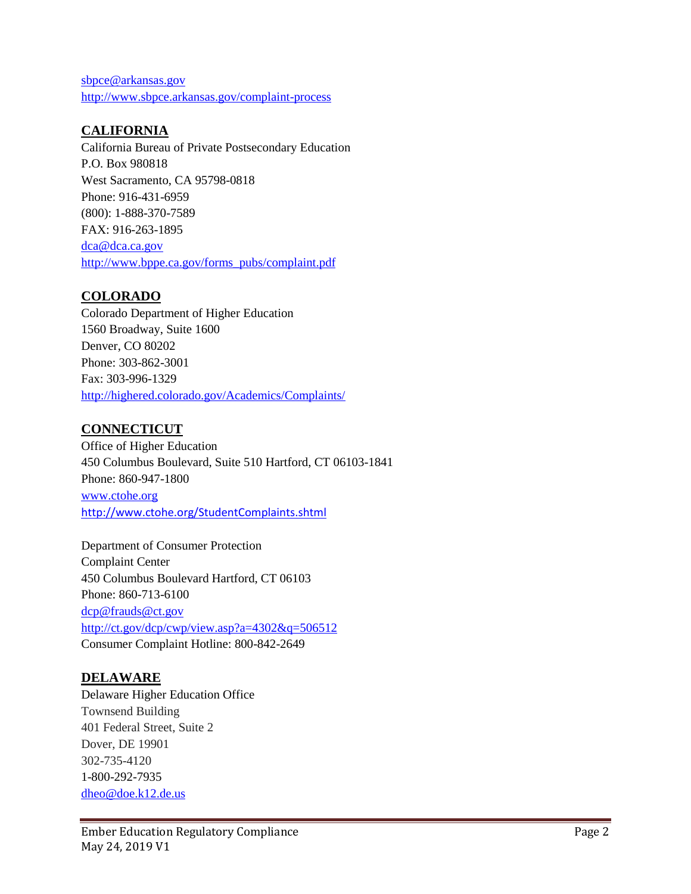[sbpce@arkansas.gov](mailto:sbpce@arkansas.gov) <http://www.sbpce.arkansas.gov/complaint-process>

## **CALIFORNIA**

California Bureau of Private Postsecondary Education P.O. Box 980818 West Sacramento, CA 95798-0818 Phone: 916-431-6959 (800): 1-888-370-7589 FAX: 916-263-1895 [dca@dca.ca.gov](mailto:dca@dca.ca.gov) [http://www.bppe.ca.gov/forms\\_pubs/complaint.pdf](http://www.bppe.ca.gov/forms_pubs/complaint.pdf)

### **COLORADO**

Colorado Department of Higher Education 1560 Broadway, Suite 1600 Denver, CO 80202 Phone: 303-862-3001 Fax: 303-996-1329 <http://highered.colorado.gov/Academics/Complaints/>

#### **CONNECTICUT**

Office of Higher Education 450 Columbus Boulevard, Suite 510 Hartford, CT 06103-1841 Phone: 860-947-1800 www.ctohe.org <http://www.ctohe.org/StudentComplaints.shtml>

Department of Consumer Protection Complaint Center 450 Columbus Boulevard Hartford, CT 06103 Phone: 860-713-6100 [dcp@frauds@ct.gov](mailto:dcp@frauds@ct.gov) <http://ct.gov/dcp/cwp/view.asp?a=4302&q=506512> Consumer Complaint Hotline: 800-842-2649

## **DELAWARE**

Delaware Higher Education Office Townsend Building 401 Federal Street, Suite 2 Dover, DE 19901 302-735-4120 1-800-292-7935 [dheo@doe.k12.de.us](mailto:dheo@doe.k12.de.us)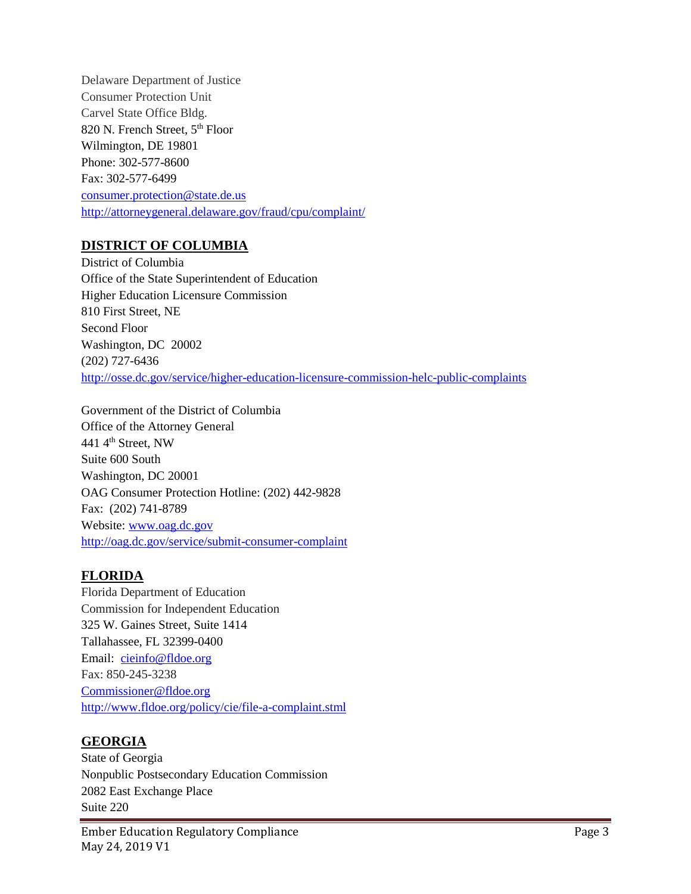Delaware Department of Justice Consumer Protection Unit Carvel State Office Bldg. 820 N. French Street, 5<sup>th</sup> Floor Wilmington, DE 19801 Phone: 302-577-8600 Fax: 302-577-6499 [consumer.protection@state.de.us](mailto:cte@nd.gov) <http://attorneygeneral.delaware.gov/fraud/cpu/complaint/>

### **DISTRICT OF COLUMBIA**

District of Columbia Office of the State Superintendent of Education Higher Education Licensure Commission 810 First Street, NE Second Floor Washington, DC 20002 (202) 727-6436 <http://osse.dc.gov/service/higher-education-licensure-commission-helc-public-complaints>

Government of the District of Columbia Office of the Attorney General 441 4th Street, NW Suite 600 South Washington, DC 20001 OAG Consumer Protection Hotline: (202) 442-9828 Fax: (202) 741-8789 Website: [www.oag.dc.gov](http://www.oag.dc.gov/)  <http://oag.dc.gov/service/submit-consumer-complaint>

## **FLORIDA**

Florida Department of Education Commission for Independent Education 325 W. Gaines Street, Suite 1414 Tallahassee, FL 32399-0400 Email: [cieinfo@fldoe.org](mailto:cieinfo@fldoe.org) Fax: 850-245-3238 [Commissioner@fldoe.org](http://www.wtb.wa.gov/PCS_Complaints.asp) <http://www.fldoe.org/policy/cie/file-a-complaint.stml>

# **GEORGIA**

State of Georgia Nonpublic Postsecondary Education Commission 2082 East Exchange Place Suite 220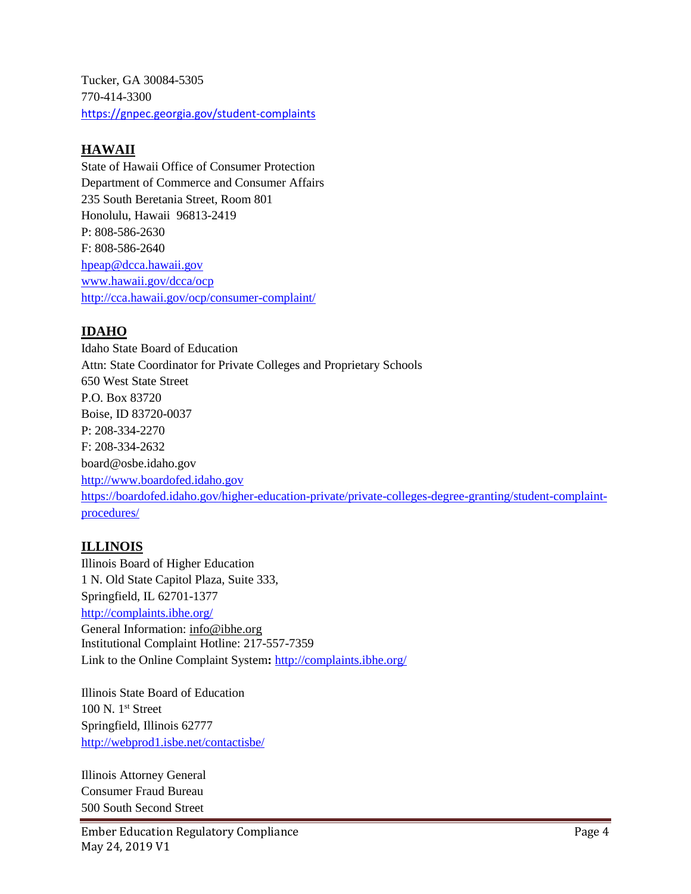Tucker, GA 30084-5305 770-414-3300 <https://gnpec.georgia.gov/student-complaints>

### **HAWAII**

State of Hawaii Office of Consumer Protection Department of Commerce and Consumer Affairs 235 South Beretania Street, Room 801 Honolulu, Hawaii 96813-2419 P: 808-586-2630 F: 808-586-2640 [hpeap@dcca.hawaii.gov](mailto:hpeap@dcca.hawaii.gov) [www.hawaii.gov/dcca/ocp](file://///fileserver1/homedir$/D01635847/2016/7-2016/www.hawaii.gov/dcca/ocp) <http://cca.hawaii.gov/ocp/consumer-complaint/>

## **IDAHO**

Idaho State Board of Education Attn: State Coordinator for Private Colleges and Proprietary Schools 650 West State Street P.O. Box 83720 Boise, ID 83720-0037 P: 208-334-2270 F: 208-334-2632 board@osbe.idaho.gov [http://www.boardofed.idaho.gov](http://www.boardofed.idaho.gov/) [https://boardofed.idaho.gov/higher-education-private/private-colleges-degree-granting/student-complaint](https://boardofed.idaho.gov/higher-education-private/private-colleges-degree-granting/student-complaint-procedures/)[procedures/](https://boardofed.idaho.gov/higher-education-private/private-colleges-degree-granting/student-complaint-procedures/)

## **ILLINOIS**

Illinois Board of Higher Education 1 N. Old State Capitol Plaza, Suite 333, Springfield, IL 62701-1377 <http://complaints.ibhe.org/> General Information: [info@ibhe.org](mailto:info@ibhe.org) Institutional Complaint Hotline: 217-557-7359 Link to the Online Complaint System**:** <http://complaints.ibhe.org/>

Illinois State Board of Education 100 N. 1st Street Springfield, Illinois 62777 <http://webprod1.isbe.net/contactisbe/>

Illinois Attorney General Consumer Fraud Bureau 500 South Second Street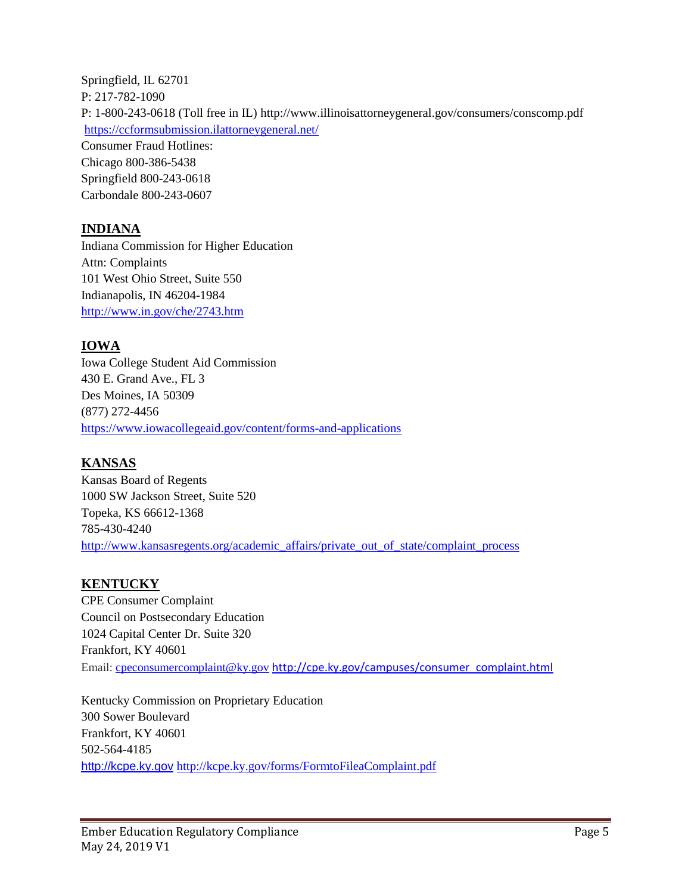Springfield, IL 62701 P: 217-782-1090 P: 1-800-243-0618 (Toll free in IL) <http://www.illinoisattorneygeneral.gov/consumers/conscomp.pdf> <https://ccformsubmission.ilattorneygeneral.net/> Consumer Fraud Hotlines: Chicago 800-386-5438 Springfield 800-243-0618 Carbondale 800-243-0607

## **INDIANA**

Indiana Commission for Higher Education Attn: Complaints 101 West Ohio Street, Suite 550 Indianapolis, IN 46204-1984 <http://www.in.gov/che/2743.htm>

## **IOWA**

Iowa College Student Aid Commission 430 E. Grand Ave., FL 3 Des Moines, IA 50309 (877) 272-4456 <https://www.iowacollegeaid.gov/content/forms-and-applications>

## **KANSAS**

Kansas Board of Regents 1000 SW Jackson Street, Suite 520 Topeka, KS 66612-1368 785-430-4240 [http://www.kansasregents.org/academic\\_affairs/private\\_out\\_of\\_state/complaint\\_process](http://www.kansasregents.org/academic_affairs/private_out_of_state/complaint_process)

## **KENTUCKY**

CPE Consumer Complaint Council on Postsecondary Education 1024 Capital Center Dr. Suite 320 Frankfort, KY 40601 Email: [cpeconsumercomplaint@ky.gov](mailto:cpeconsumercomplaint@ky.gov) [http://cpe.ky.gov/campuses/consumer\\_complaint.html](http://cpe.ky.gov/campuses/consumer_complaint.html)

Kentucky Commission on Proprietary Education 300 Sower Boulevard Frankfort, KY 40601 502-564-4185 [http://kcpe.ky.gov](http://kcpe.ky.gov/) <http://kcpe.ky.gov/forms/FormtoFileaComplaint.pdf>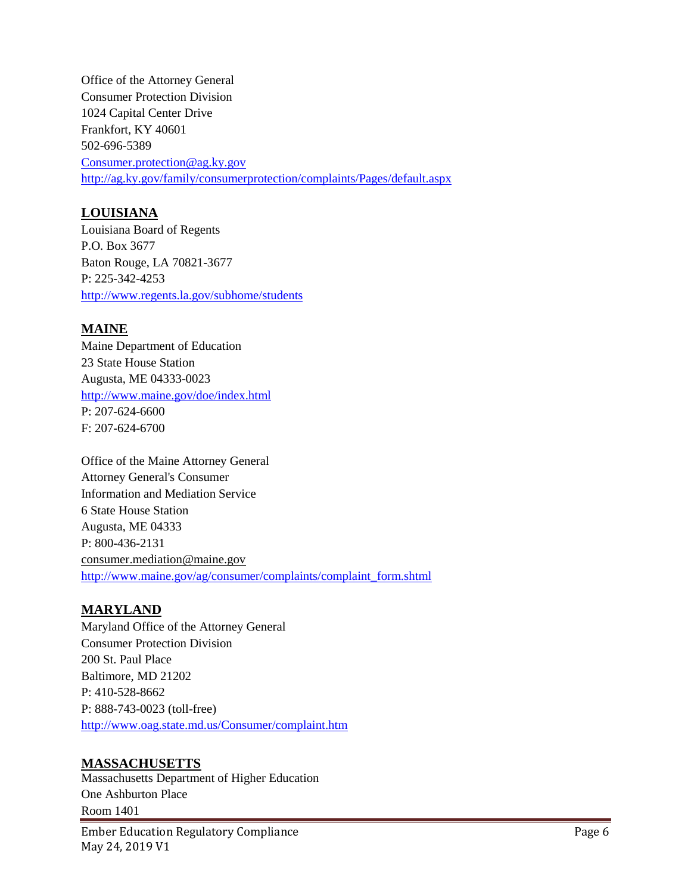Office of the Attorney General Consumer Protection Division 1024 Capital Center Drive Frankfort, KY 40601 502-696-5389 [Consumer.protection@ag.ky.gov](http://www.schev.edu/forms/StudentComplaintInformation.pdf) <http://ag.ky.gov/family/consumerprotection/complaints/Pages/default.aspx>

### **LOUISIANA**

Louisiana Board of Regents P.O. Box 3677 Baton Rouge, LA 70821-3677 P: 225-342-4253 <http://www.regents.la.gov/subhome/students>

### **MAINE**

Maine Department of Education 23 State House Station Augusta, ME 04333-0023 <http://www.maine.gov/doe/index.html> P: 207-624-6600 F: 207-624-6700

Office of the Maine Attorney General Attorney General's Consumer Information and Mediation Service 6 State House Station Augusta, ME 04333 P: 800-436-2131 [consumer.mediation@maine.gov](mailto:consumer.mediation@maine.gov) [http://www.maine.gov/ag/consumer/complaints/complaint\\_form.shtml](http://www.maine.gov/ag/consumer/complaints/complaint_form.shtml)

## **MARYLAND**

Maryland Office of the Attorney General Consumer Protection Division 200 St. Paul Place Baltimore, MD 21202 P: 410-528-8662 P: 888-743-0023 (toll-free) <http://www.oag.state.md.us/Consumer/complaint.htm>

#### **MASSACHUSETTS**

Massachusetts Department of Higher Education One Ashburton Place Room 1401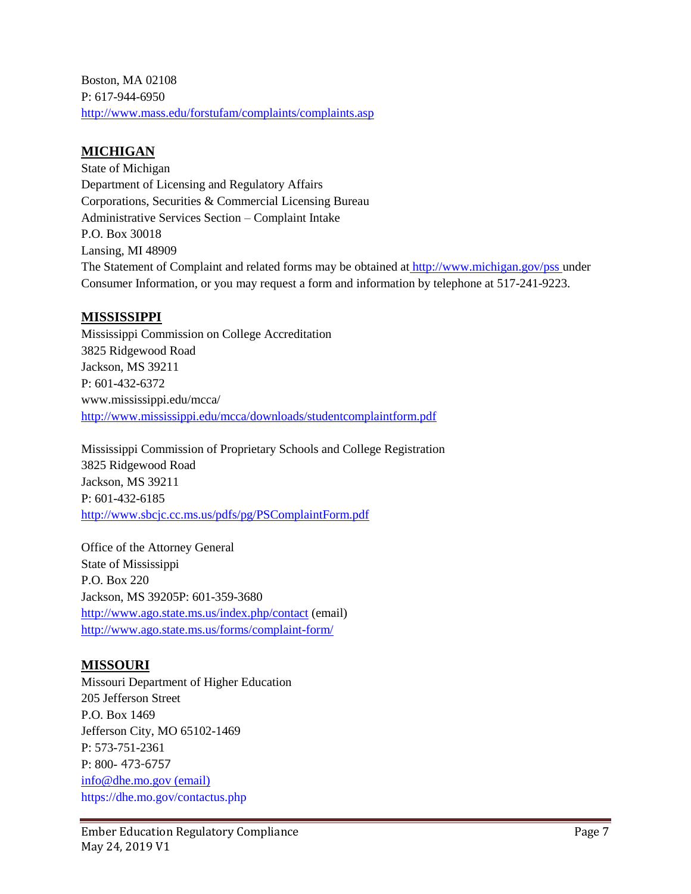Boston, MA 02108 P: 617-944-6950 <http://www.mass.edu/forstufam/complaints/complaints.asp>

## **MICHIGAN**

State of Michigan Department of Licensing and Regulatory Affairs Corporations, Securities & Commercial Licensing Bureau Administrative Services Section – Complaint Intake P.O. Box 30018 Lansing, MI 48909 The Statement of Complaint and related forms may be obtained at <http://www.michigan.gov/pss> under Consumer Information, or you may request a form and information by telephone at 517-241-9223.

### **MISSISSIPPI**

Mississippi Commission on College Accreditation 3825 Ridgewood Road Jackson, MS 39211 P: 601-432-6372 www.mississippi.edu/mcca/ <http://www.mississippi.edu/mcca/downloads/studentcomplaintform.pdf>

Mississippi Commission of Proprietary Schools and College Registration 3825 Ridgewood Road Jackson, MS 39211 P: 601-432-6185 <http://www.sbcjc.cc.ms.us/pdfs/pg/PSComplaintForm.pdf>

Office of the Attorney General State of Mississippi P.O. Box 220 Jackson, MS 39205P: 601-359-3680 [http://www.ago.state.ms.us/index.php/contact](http://www.ago.state.ms.us/contact/) (email) <http://www.ago.state.ms.us/forms/complaint-form/>

## **MISSOURI**

Missouri Department of Higher Education 205 Jefferson Street P.O. Box 1469 Jefferson City, MO 65102-1469 P: 573-751-2361 P: 800- 473-6757 [info@dhe.mo.gov](mailto:info@dhe.mo.gov) (email) https://dhe.mo.gov/contactus.php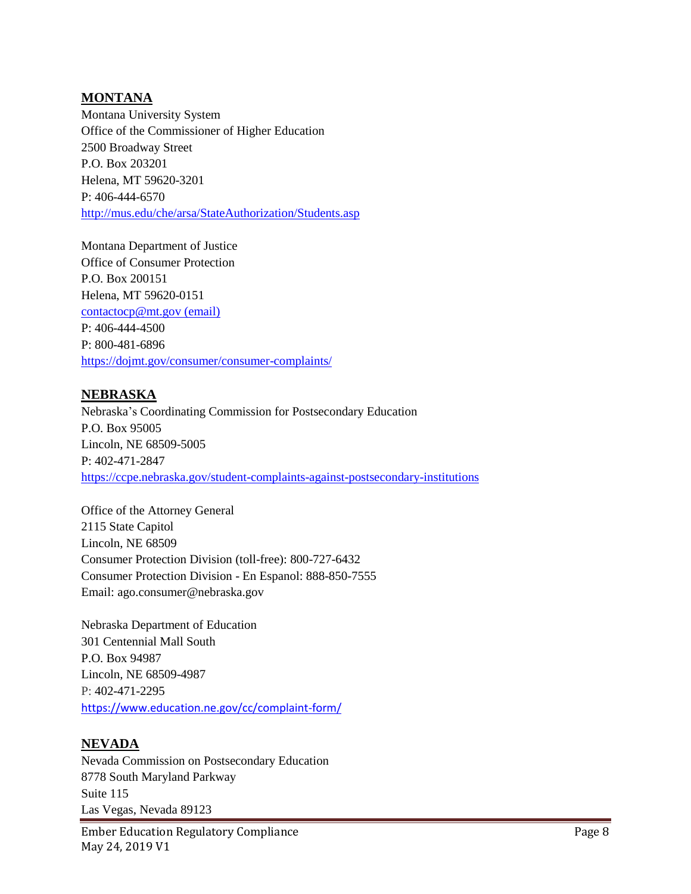#### **MONTANA**

Montana University System Office of the Commissioner of Higher Education 2500 Broadway Street P.O. Box 203201 Helena, MT 59620-3201 P: 406-444-6570 <http://mus.edu/che/arsa/StateAuthorization/Students.asp>

Montana Department of Justice Office of Consumer Protection P.O. Box 200151 Helena, MT 59620-0151 [contactocp@mt.gov](https://ppse.az.gov/complaint) (email) P: 406-444-4500 P: 800-481-6896 <https://dojmt.gov/consumer/consumer-complaints/>

#### **NEBRASKA**

Nebraska's Coordinating Commission for Postsecondary Education P.O. Box 95005 Lincoln, NE 68509-5005 P: 402-471-2847 <https://ccpe.nebraska.gov/student-complaints-against-postsecondary-institutions>

Office of the Attorney General 2115 State Capitol Lincoln, NE 68509 Consumer Protection Division (toll-free): 800-727-6432 Consumer Protection Division - En Espanol: 888-850-7555 Email: ago.consumer@nebraska.gov

Nebraska Department of Education 301 Centennial Mall South P.O. Box 94987 Lincoln, NE 68509-4987 P: 402-471-2295 <https://www.education.ne.gov/cc/complaint-form/>

#### **NEVADA**

Nevada Commission on Postsecondary Education 8778 South Maryland Parkway Suite 115 Las Vegas, Nevada 89123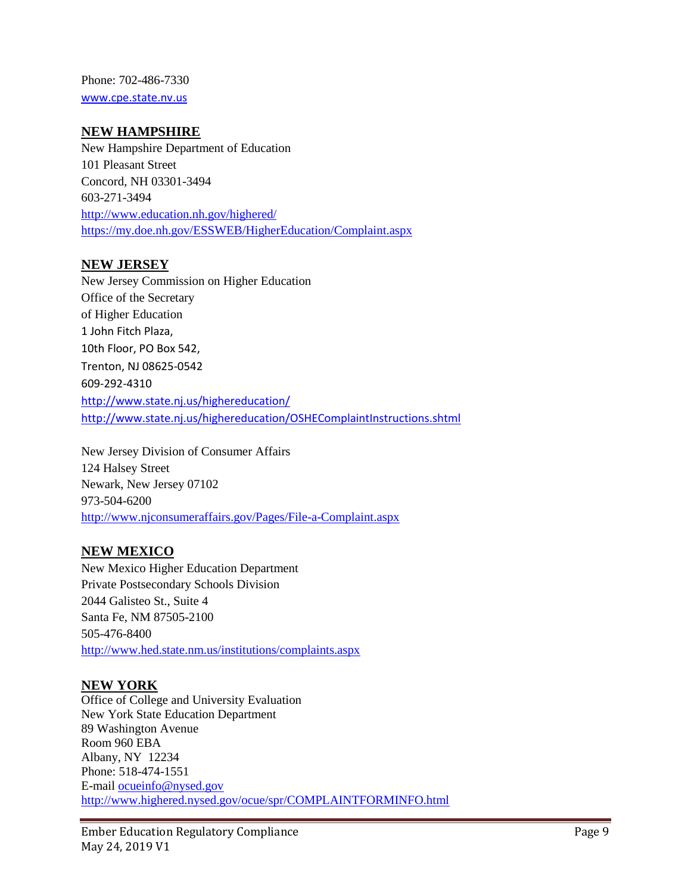Phone: 702-486-7330 [www.cpe.state.nv.us](http://www.cpe.state.nv.us/)

#### **NEW HAMPSHIRE**

New Hampshire Department of Education 101 Pleasant Street Concord, NH 03301-3494 603-271-3494 <http://www.education.nh.gov/highered/> <https://my.doe.nh.gov/ESSWEB/HigherEducation/Complaint.aspx>

#### **NEW JERSEY**

New Jersey Commission on Higher Education Office of the Secretary of Higher Education 1 John Fitch Plaza, 10th Floor, PO Box 542, Trenton, NJ 08625-0542 609-292-4310 <http://www.state.nj.us/highereducation/> <http://www.state.nj.us/highereducation/OSHEComplaintInstructions.shtml>

New Jersey Division of Consumer Affairs 124 Halsey Street Newark, New Jersey 07102 973-504-6200 <http://www.njconsumeraffairs.gov/Pages/File-a-Complaint.aspx>

#### **NEW MEXICO**

New Mexico Higher Education Department Private Postsecondary Schools Division 2044 Galisteo St., Suite 4 Santa Fe, NM 87505-2100 505-476-8400 <http://www.hed.state.nm.us/institutions/complaints.aspx>

#### **NEW YORK**

Office of College and University Evaluation New York State Education Department 89 Washington Avenue Room 960 EBA Albany, NY 12234 Phone: 518-474-1551 E-mail [ocueinfo@nysed.gov](mailto:ocueinfo@nysed.gov) <http://www.highered.nysed.gov/ocue/spr/COMPLAINTFORMINFO.html>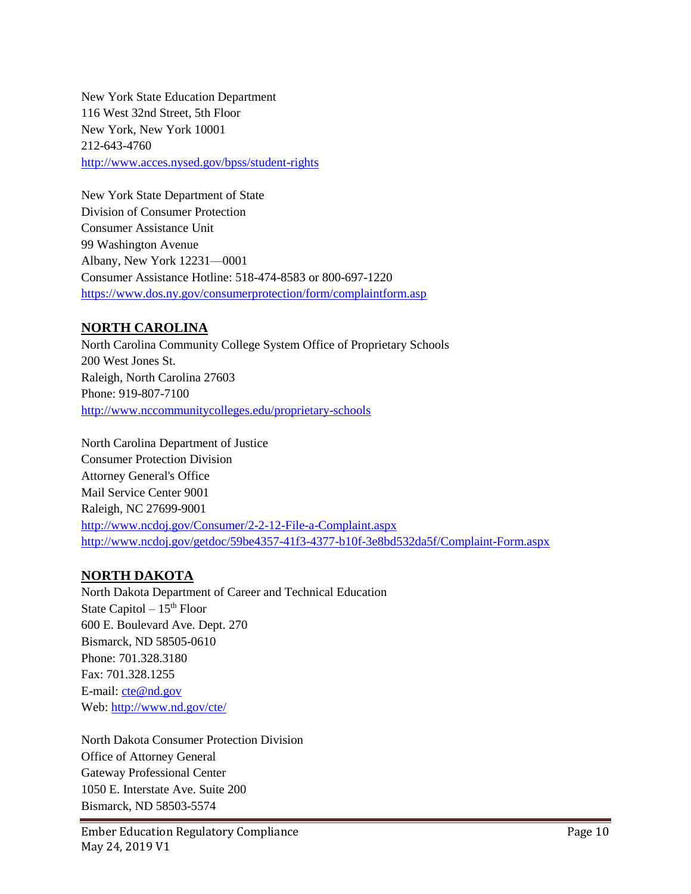New York State Education Department 116 West 32nd Street, 5th Floor New York, New York 10001 212-643-4760 <http://www.acces.nysed.gov/bpss/student-rights>

New York State Department of State Division of Consumer Protection Consumer Assistance Unit 99 Washington Avenue Albany, New York 12231—0001 Consumer Assistance Hotline: 518-474-8583 or 800-697-1220 <https://www.dos.ny.gov/consumerprotection/form/complaintform.asp>

### **NORTH CAROLINA**

North Carolina Community College System Office of Proprietary Schools 200 West Jones St. Raleigh, North Carolina 27603 Phone: 919-807-7100 <http://www.nccommunitycolleges.edu/proprietary-schools>

North Carolina Department of Justice Consumer Protection Division Attorney General's Office Mail Service Center 9001 Raleigh, NC 27699-9001 <http://www.ncdoj.gov/Consumer/2-2-12-File-a-Complaint.aspx> <http://www.ncdoj.gov/getdoc/59be4357-41f3-4377-b10f-3e8bd532da5f/Complaint-Form.aspx>

#### **NORTH DAKOTA**

North Dakota Department of Career and Technical Education State Capitol  $-15<sup>th</sup>$  Floor 600 E. Boulevard Ave. Dept. 270 Bismarck, ND 58505-0610 Phone: 701.328.3180 Fax: 701.328.1255 E-mail: [cte@nd.gov](mailto:cte@nd.gov) Web: <http://www.nd.gov/cte/>

North Dakota Consumer Protection Division Office of Attorney General Gateway Professional Center 1050 E. Interstate Ave. Suite 200 Bismarck, ND 58503-5574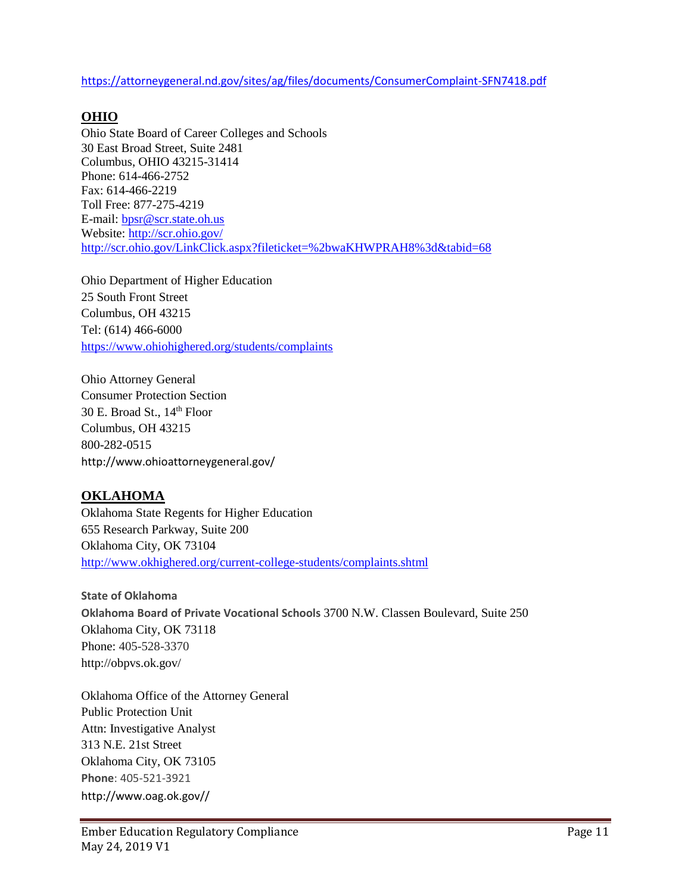<https://attorneygeneral.nd.gov/sites/ag/files/documents/ConsumerComplaint-SFN7418.pdf>

# **OHIO**

Ohio State Board of Career Colleges and Schools 30 East Broad Street, Suite 2481 Columbus, OHIO 43215-31414 Phone: 614-466-2752 Fax: 614-466-2219 Toll Free: 877-275-4219 E-mail[: bpsr@scr.state.oh.us](mailto:bpsr@scr.state.oh.us) Website:<http://scr.ohio.gov/> <http://scr.ohio.gov/LinkClick.aspx?fileticket=%2bwaKHWPRAH8%3d&tabid=68>

Ohio Department of Higher Education 25 South Front Street Columbus, OH 43215 Tel: (614) 466-6000 <https://www.ohiohighered.org/students/complaints>

Ohio Attorney General Consumer Protection Section 30 E. Broad St., 14th Floor Columbus, OH 43215 800-282-0515 http://www.ohioattorneygeneral.gov/

## **OKLAHOMA**

Oklahoma State Regents for Higher Education 655 Research Parkway, Suite 200 Oklahoma City, OK 73104 <http://www.okhighered.org/current-college-students/complaints.shtml>

**State of Oklahoma Oklahoma Board of Private Vocational Schools** 3700 N.W. Classen Boulevard, Suite 250 Oklahoma City, OK 73118 Phone: 405-528-3370 http://obpvs.ok.gov/

Oklahoma Office of the Attorney General Public Protection Unit Attn: Investigative Analyst 313 N.E. 21st Street Oklahoma City, OK 73105 **Phone**: 405-521-3921 http://www.oag.ok.gov//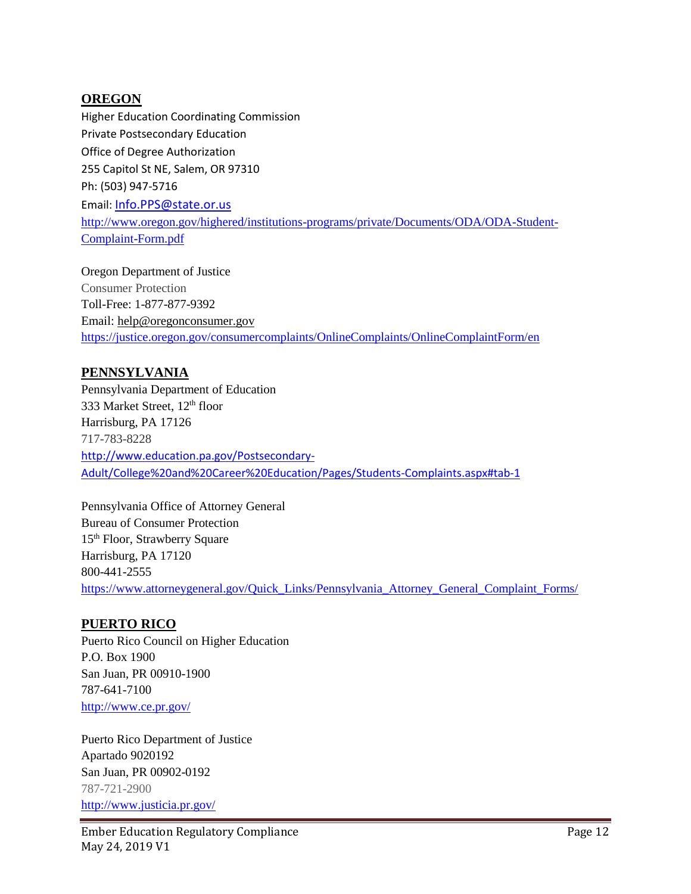#### **OREGON**

Higher Education Coordinating Commission Private Postsecondary Education Office of Degree Authorization 255 Capitol St NE, Salem, OR 97310 Ph: (503) 947-5716 Email: [Info.PPS@state.or.us](mailto:Info.PPS@state.or.us) [http://www.oregon.gov/highered/institutions-programs/private/Documents/ODA/ODA-Student-](http://www.oregon.gov/highered/institutions-programs/private/Documents/ODA/ODA-Student-Complaint-Form.pdf)[Complaint-Form.pdf](http://www.oregon.gov/highered/institutions-programs/private/Documents/ODA/ODA-Student-Complaint-Form.pdf)

Oregon Department of Justice Consumer Protection Toll-Free: 1-877-877-9392 Email: [help@oregonconsumer.gov](mailto:help@oregonconsumer.gov) <https://justice.oregon.gov/consumercomplaints/OnlineComplaints/OnlineComplaintForm/en>

#### **PENNSYLVANIA**

Pennsylvania Department of Education 333 Market Street, 12<sup>th</sup> floor Harrisburg, PA 17126 717-783-8228 [http://www.education.pa.gov/Postsecondary-](http://www.education.pa.gov/Postsecondary-Adult/College%20and%20Career%20Education/Pages/Students-Complaints.aspx#tab-1)[Adult/College%20and%20Career%20Education/Pages/Students-Complaints.aspx#tab-1](http://www.education.pa.gov/Postsecondary-Adult/College%20and%20Career%20Education/Pages/Students-Complaints.aspx#tab-1)

Pennsylvania Office of Attorney General Bureau of Consumer Protection 15<sup>th</sup> Floor, Strawberry Square Harrisburg, PA 17120 800-441-2555 [https://www.attorneygeneral.gov/Quick\\_Links/Pennsylvania\\_Attorney\\_General\\_Complaint\\_Forms/](https://www.attorneygeneral.gov/Quick_Links/Pennsylvania_Attorney_General_Complaint_Forms/)

#### **PUERTO RICO**

Puerto Rico Council on Higher Education P.O. Box 1900 San Juan, PR 00910-1900 787-641-7100 <http://www.ce.pr.gov/>

Puerto Rico Department of Justice Apartado 9020192 San Juan, PR 00902-0192 787-721-2900 <http://www.justicia.pr.gov/>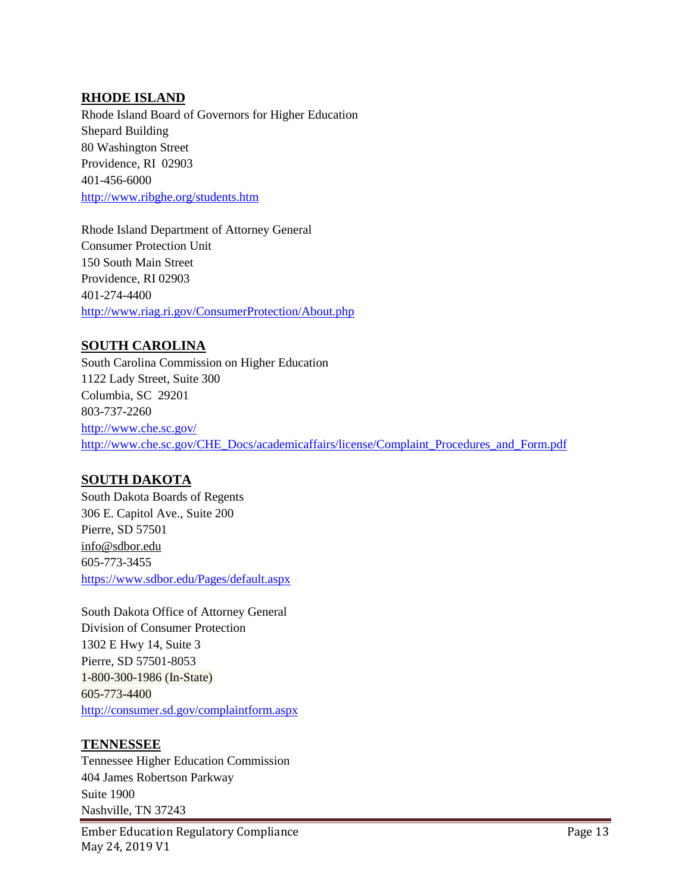#### **RHODE ISLAND**

Rhode Island Board of Governors for Higher Education Shepard Building 80 Washington Street Providence, RI 02903 401-456-6000 <http://www.ribghe.org/students.htm>

Rhode Island Department of Attorney General Consumer Protection Unit 150 South Main Street Providence, RI 02903 401-274-4400 <http://www.riag.ri.gov/ConsumerProtection/About.php>

#### **SOUTH CAROLINA**

South Carolina Commission on Higher Education 1122 Lady Street, Suite 300 Columbia, SC 29201 803-737-2260 <http://www.che.sc.gov/> [http://www.che.sc.gov/CHE\\_Docs/academicaffairs/license/Complaint\\_Procedures\\_and\\_Form.pdf](http://www.che.sc.gov/CHE_Docs/academicaffairs/license/Complaint_Procedures_and_Form.pdf)

#### **SOUTH DAKOTA**

South Dakota Boards of Regents 306 E. Capitol Ave., Suite 200 Pierre, SD 57501 [info@sdbor.edu](mailto:info@sdbor.edu) 605-773-3455 <https://www.sdbor.edu/Pages/default.aspx>

South Dakota Office of Attorney General Division of Consumer Protection 1302 E Hwy 14, Suite 3 Pierre, SD 57501-8053 1-800-300-1986 (In-State) 605-773-4400 <http://consumer.sd.gov/complaintform.aspx>

#### **TENNESSEE**

Tennessee Higher Education Commission 404 James Robertson Parkway Suite 1900 Nashville, TN 37243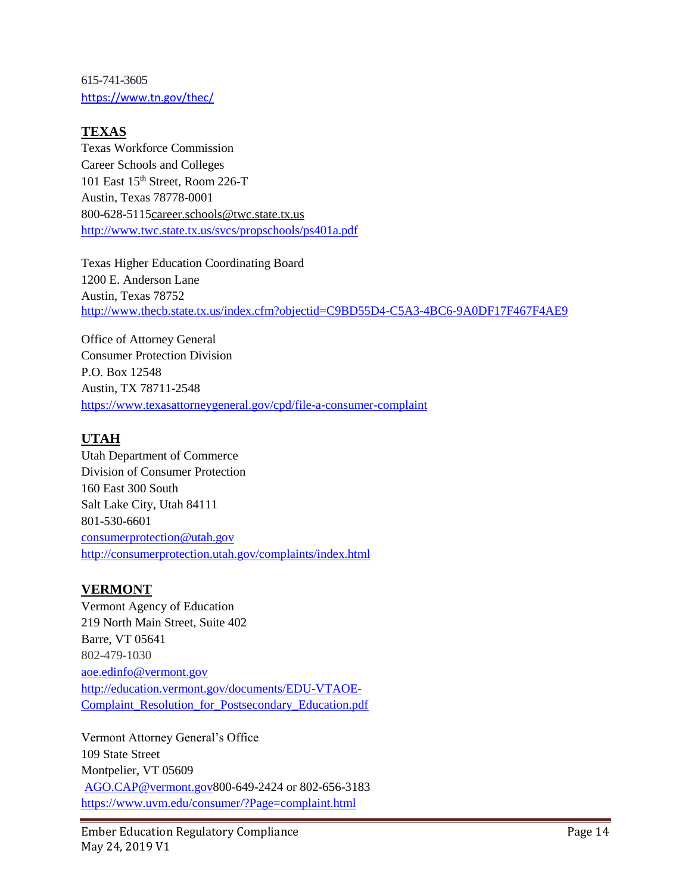615-741-3605 <https://www.tn.gov/thec/>

### **TEXAS**

Texas Workforce Commission Career Schools and Colleges 101 East 15th Street, Room 226-T Austin, Texas 78778-0001 800-628-511[5career.schools@twc.state.tx.us](mailto:career.schools@twc.state.tx.us) <http://www.twc.state.tx.us/svcs/propschools/ps401a.pdf>

Texas Higher Education Coordinating Board 1200 E. Anderson Lane Austin, Texas 78752 <http://www.thecb.state.tx.us/index.cfm?objectid=C9BD55D4-C5A3-4BC6-9A0DF17F467F4AE9>

Office of Attorney General Consumer Protection Division P.O. Box 12548 Austin, TX 78711-2548 <https://www.texasattorneygeneral.gov/cpd/file-a-consumer-complaint>

## **UTAH**

Utah Department of Commerce Division of Consumer Protection 160 East 300 South Salt Lake City, Utah 84111 801-530-6601 [consumerprotection@utah.gov](http://www.highered.nysed.gov/ocue/spr/COMPLAINTFORMINFO.html) <http://consumerprotection.utah.gov/complaints/index.html>

## **VERMONT**

Vermont Agency of Education 219 North Main Street, Suite 402 Barre, VT 05641 802-479-1030 [aoe.edinfo@vermont.gov](mailto:aoe.edinfo@vermont.gov) [http://education.vermont.gov/documents/EDU-VTAOE-](http://education.vermont.gov/documents/EDU-VTAOE-Complaint_Resolution_for_Postsecondary_Education.pdf)[Complaint\\_Resolution\\_for\\_Postsecondary\\_Education.pdf](http://education.vermont.gov/documents/EDU-VTAOE-Complaint_Resolution_for_Postsecondary_Education.pdf)

Vermont Attorney General's Office 109 State Street Montpelier, VT 05609 [AGO.CAP@vermont.gov8](mailto:AGO.CAP@vermont.gov)00-649-2424 or 802-656-3183 <https://www.uvm.edu/consumer/?Page=complaint.html>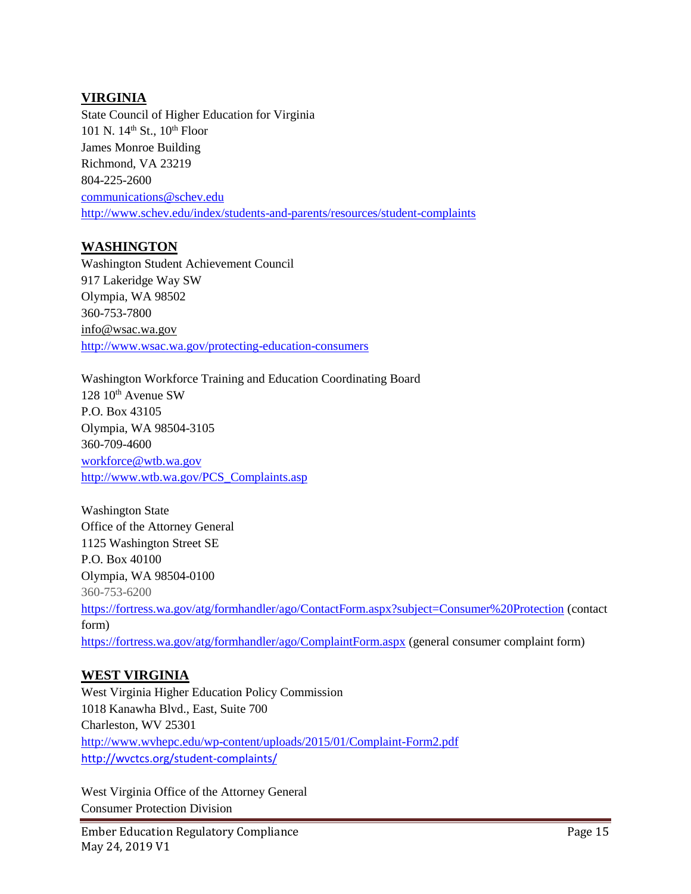#### **VIRGINIA**

State Council of Higher Education for Virginia 101 N. 14<sup>th</sup> St., 10<sup>th</sup> Floor James Monroe Building Richmond, VA 23219 804-225-2600 [communications@schev.edu](mailto:communications@schev.edu) <http://www.schev.edu/index/students-and-parents/resources/student-complaints>

### **WASHINGTON**

Washington Student Achievement Council 917 Lakeridge Way SW Olympia, WA 98502 360-753-7800 [info@wsac.wa.gov](mailto:info@wsac.wa.gov) <http://www.wsac.wa.gov/protecting-education-consumers>

Washington Workforce Training and Education Coordinating Board 128 10<sup>th</sup> Avenue SW P.O. Box 43105 Olympia, WA 98504-3105 360-709-4600 [workforce@wtb.wa.gov](mailto:workforce@wtb.wa.gov) [http://www.wtb.wa.gov/PCS\\_Complaints.asp](http://www.wtb.wa.gov/PCS_Complaints.asp)

Washington State Office of the Attorney General 1125 Washington Street SE P.O. Box 40100 Olympia, WA 98504-0100 360-753-6200 [https://fortress.wa.gov/atg/formhandler/ago/ContactForm.aspx?subject=Consumer%20Protection](https://fortress.wa.gov/atg/formhandler/ago/ContactForm.aspx?subject=Consumer%20Protection%20) (contact form) <https://fortress.wa.gov/atg/formhandler/ago/ComplaintForm.aspx> (general consumer complaint form)

## **WEST VIRGINIA**

West Virginia Higher Education Policy Commission 1018 Kanawha Blvd., East, Suite 700 Charleston, WV 25301 <http://www.wvhepc.edu/wp-content/uploads/2015/01/Complaint-Form2.pdf> <http://wvctcs.org/student-complaints/>

West Virginia Office of the Attorney General Consumer Protection Division